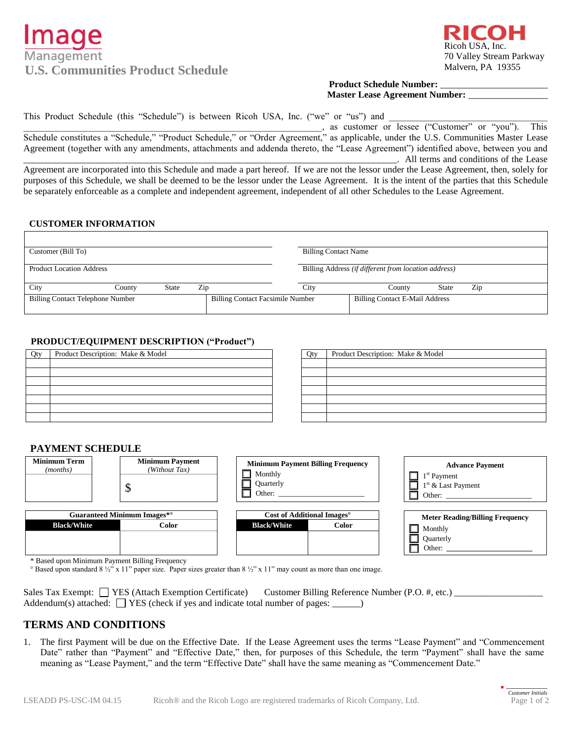# Management U.S. Communities Product Schedule **Malvern, PA 19355**



# **Product Schedule Number:** \_\_\_\_\_\_\_\_\_\_\_\_\_\_\_\_\_\_\_\_\_\_\_ **Master Lease Agreement Number:** \_\_\_\_\_\_\_\_\_\_\_\_\_\_\_\_\_

This Product Schedule (this "Schedule") is between Ricoh USA, Inc. ("we" or "us") and

, as customer or lessee ("Customer" or  $\frac{d^2y}{dy^2}$ . This Schedule constitutes a "Schedule," "Product Schedule," or "Order Agreement," as applicable, under the U.S. Communities Master Lease Agreement (together with any amendments, attachments and addenda thereto, the "Lease Agreement") identified above, between you and \_\_\_\_\_\_\_\_\_\_\_\_\_\_\_\_\_\_\_\_\_\_\_\_\_\_\_\_\_\_\_\_\_\_\_\_\_\_\_\_\_\_\_\_\_\_\_\_\_\_\_\_\_\_\_\_\_\_\_\_\_\_\_\_\_\_\_\_\_\_\_\_\_\_\_\_\_\_\_\_. All terms and conditions of the Lease

Agreement are incorporated into this Schedule and made a part hereof. If we are not the lessor under the Lease Agreement, then, solely for purposes of this Schedule, we shall be deemed to be the lessor under the Lease Agreement. It is the intent of the parties that this Schedule be separately enforceable as a complete and independent agreement, independent of all other Schedules to the Lease Agreement.

# **CUSTOMER INFORMATION**

| Customer (Bill To)                      | <b>Billing Contact Name</b>             |                                                      |
|-----------------------------------------|-----------------------------------------|------------------------------------------------------|
|                                         |                                         |                                                      |
| <b>Product Location Address</b>         |                                         | Billing Address (if different from location address) |
|                                         |                                         |                                                      |
| Zip<br>City<br>State<br>Countv          | City                                    | Zip<br><b>State</b><br>Countv                        |
| <b>Billing Contact Telephone Number</b> | <b>Billing Contact Facsimile Number</b> | <b>Billing Contact E-Mail Address</b>                |
|                                         |                                         |                                                      |

# **PRODUCT/EQUIPMENT DESCRIPTION ("Product")**

| Oty | Product Description: Make & Model | Qty | Product Description: Make & Model |
|-----|-----------------------------------|-----|-----------------------------------|
|     |                                   |     |                                   |
|     |                                   |     |                                   |
|     |                                   |     |                                   |
|     |                                   |     |                                   |
|     |                                   |     |                                   |
|     |                                   |     |                                   |
|     |                                   |     |                                   |

| Product Description: Make & Model |
|-----------------------------------|
|                                   |
|                                   |
|                                   |
|                                   |
|                                   |
|                                   |

Other: **\_\_\_\_\_\_\_\_\_\_\_\_\_\_\_\_\_\_\_\_\_\_\_**

# **PAYMENT SCHEDULE**



\* Based upon Minimum Payment Billing Frequency

° Based upon standard 8 ½" x 11" paper size. Paper sizes greater than 8 ½" x 11" may count as more than one image.

| Sales Tax Exempt: $\Box$ YES (Attach Exemption Certificate) Customer Billing Reference Number (P.O. #, etc.) |  |
|--------------------------------------------------------------------------------------------------------------|--|
| Addendum(s) attached: $\Box$ YES (check if yes and indicate total number of pages: $\Box$ )                  |  |

# **TERMS AND CONDITIONS**

1. The first Payment will be due on the Effective Date. If the Lease Agreement uses the terms "Lease Payment" and "Commencement Date" rather than "Payment" and "Effective Date," then, for purposes of this Schedule, the term "Payment" shall have the same meaning as "Lease Payment," and the term "Effective Date" shall have the same meaning as "Commencement Date."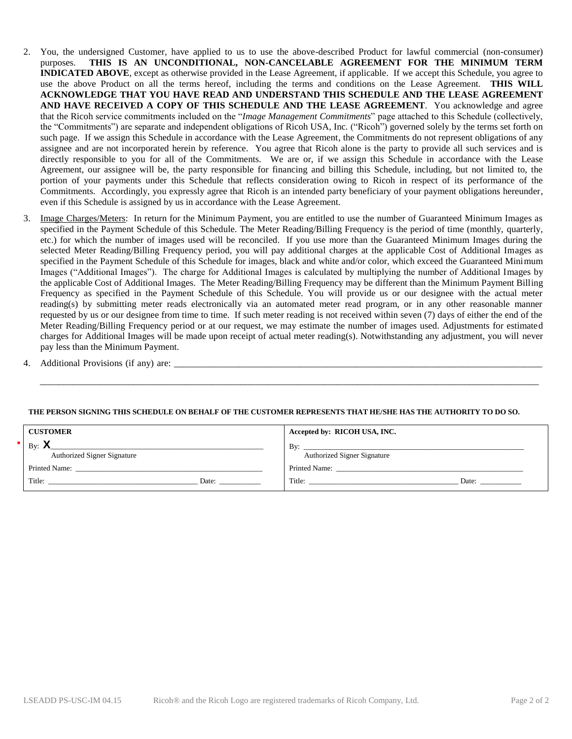- 2. You, the undersigned Customer, have applied to us to use the above-described Product for lawful commercial (non-consumer) purposes. **THIS IS AN UNCONDITIONAL, NON-CANCELABLE AGREEMENT FOR THE MINIMUM TERM INDICATED ABOVE**, except as otherwise provided in the Lease Agreement, if applicable. If we accept this Schedule, you agree to use the above Product on all the terms hereof, including the terms and conditions on the Lease Agreement. **THIS WILL ACKNOWLEDGE THAT YOU HAVE READ AND UNDERSTAND THIS SCHEDULE AND THE LEASE AGREEMENT AND HAVE RECEIVED A COPY OF THIS SCHEDULE AND THE LEASE AGREEMENT**. You acknowledge and agree that the Ricoh service commitments included on the "*Image Management Commitments*" page attached to this Schedule (collectively, the "Commitments") are separate and independent obligations of Ricoh USA, Inc. ("Ricoh") governed solely by the terms set forth on such page. If we assign this Schedule in accordance with the Lease Agreement, the Commitments do not represent obligations of any assignee and are not incorporated herein by reference. You agree that Ricoh alone is the party to provide all such services and is directly responsible to you for all of the Commitments. We are or, if we assign this Schedule in accordance with the Lease Agreement, our assignee will be, the party responsible for financing and billing this Schedule, including, but not limited to, the portion of your payments under this Schedule that reflects consideration owing to Ricoh in respect of its performance of the Commitments. Accordingly, you expressly agree that Ricoh is an intended party beneficiary of your payment obligations hereunder, even if this Schedule is assigned by us in accordance with the Lease Agreement.
- 3. Image Charges/Meters: In return for the Minimum Payment, you are entitled to use the number of Guaranteed Minimum Images as specified in the Payment Schedule of this Schedule. The Meter Reading/Billing Frequency is the period of time (monthly, quarterly, etc.) for which the number of images used will be reconciled. If you use more than the Guaranteed Minimum Images during the selected Meter Reading/Billing Frequency period, you will pay additional charges at the applicable Cost of Additional Images as specified in the Payment Schedule of this Schedule for images, black and white and/or color, which exceed the Guaranteed Minimum Images ("Additional Images"). The charge for Additional Images is calculated by multiplying the number of Additional Images by the applicable Cost of Additional Images. The Meter Reading/Billing Frequency may be different than the Minimum Payment Billing Frequency as specified in the Payment Schedule of this Schedule. You will provide us or our designee with the actual meter reading(s) by submitting meter reads electronically via an automated meter read program, or in any other reasonable manner requested by us or our designee from time to time. If such meter reading is not received within seven (7) days of either the end of the Meter Reading/Billing Frequency period or at our request, we may estimate the number of images used. Adjustments for estimated charges for Additional Images will be made upon receipt of actual meter reading(s). Notwithstanding any adjustment, you will never pay less than the Minimum Payment.
- 4. Additional Provisions (if any) are: \_\_\_\_\_\_\_\_\_\_\_\_\_\_\_\_\_\_\_\_\_\_\_\_\_\_\_\_\_\_\_\_\_\_\_\_\_\_\_\_\_\_\_\_\_\_\_\_\_\_\_\_\_\_\_\_\_\_\_\_\_\_\_\_\_\_\_\_\_\_\_\_\_\_\_\_\_\_\_

## **THE PERSON SIGNING THIS SCHEDULE ON BEHALF OF THE CUSTOMER REPRESENTS THAT HE/SHE HAS THE AUTHORITY TO DO SO.**

\_\_\_\_\_\_\_\_\_\_\_\_\_\_\_\_\_\_\_\_\_\_\_\_\_\_\_\_\_\_\_\_\_\_\_\_\_\_\_\_\_\_\_\_\_\_\_\_\_\_\_\_\_\_\_\_\_\_\_\_\_\_\_\_\_\_\_\_\_\_\_\_\_\_\_\_\_\_\_\_\_\_\_\_\_\_\_\_\_\_\_\_\_\_\_\_\_\_\_\_\_\_\_\_\_\_\_

| <b>CUSTOMER</b>                    | Accepted by: RICOH USA, INC.                                                                                          |
|------------------------------------|-----------------------------------------------------------------------------------------------------------------------|
| By: $\lambda$                      | By:                                                                                                                   |
|                                    | <u> 1989 - Johann Stoff, deutscher Stoff, der Stoff, der Stoff, der Stoff, der Stoff, der Stoff, der Stoff, der S</u> |
| <b>Authorized Signer Signature</b> | <b>Authorized Signer Signature</b>                                                                                    |
| Printed Name:                      | Printed Name:                                                                                                         |
| Title:                             | Title:                                                                                                                |
| Date:                              | Date:                                                                                                                 |
|                                    |                                                                                                                       |